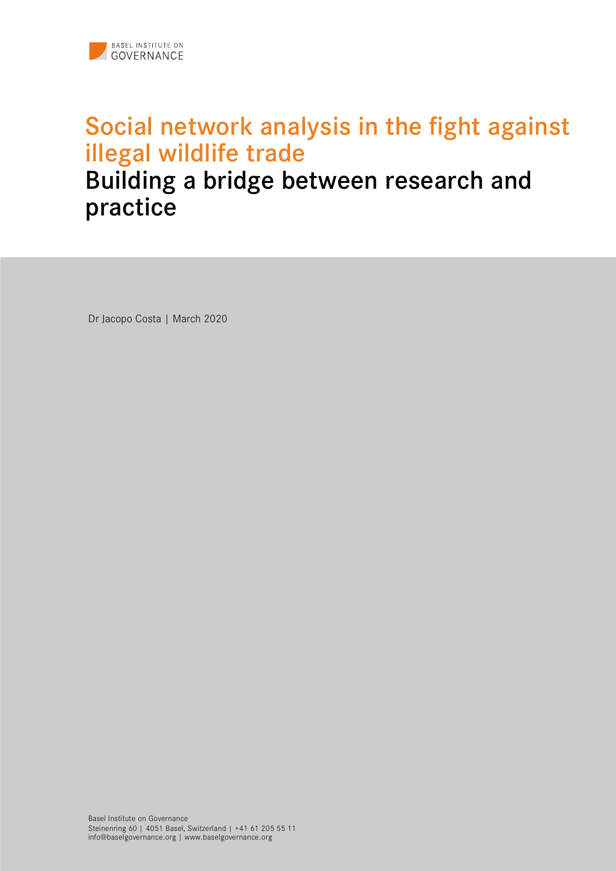

# Social network analysis in the fight against illegal wildlife trade

#### Building a bridge between research and practice

Dr Jacopo Costa | March 2020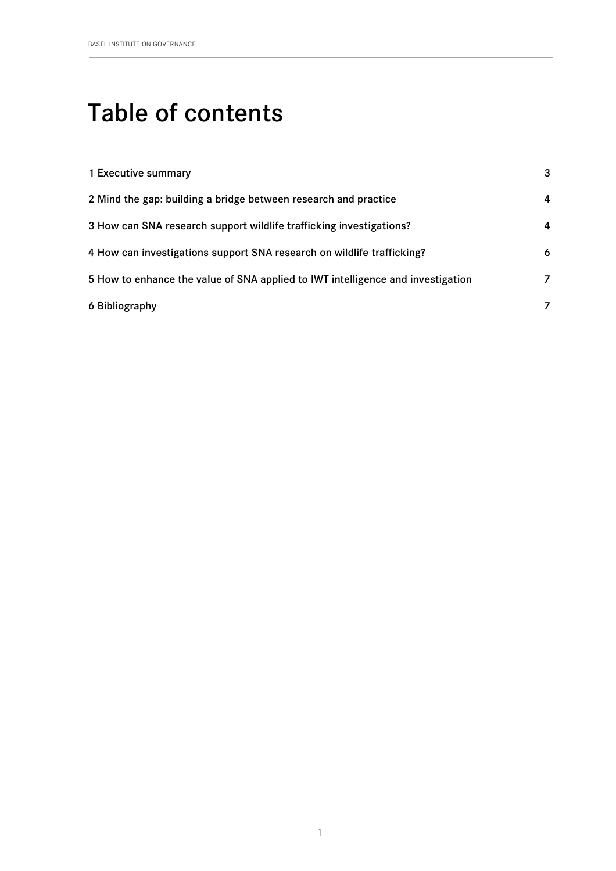## Table of contents

| 1 Executive summary                                                             | 3 |
|---------------------------------------------------------------------------------|---|
| 2 Mind the gap: building a bridge between research and practice                 | 4 |
| 3 How can SNA research support wildlife trafficking investigations?             | 4 |
| 4 How can investigations support SNA research on wildlife trafficking?          | 6 |
| 5 How to enhance the value of SNA applied to IWT intelligence and investigation | 7 |
| 6 Bibliography                                                                  | 7 |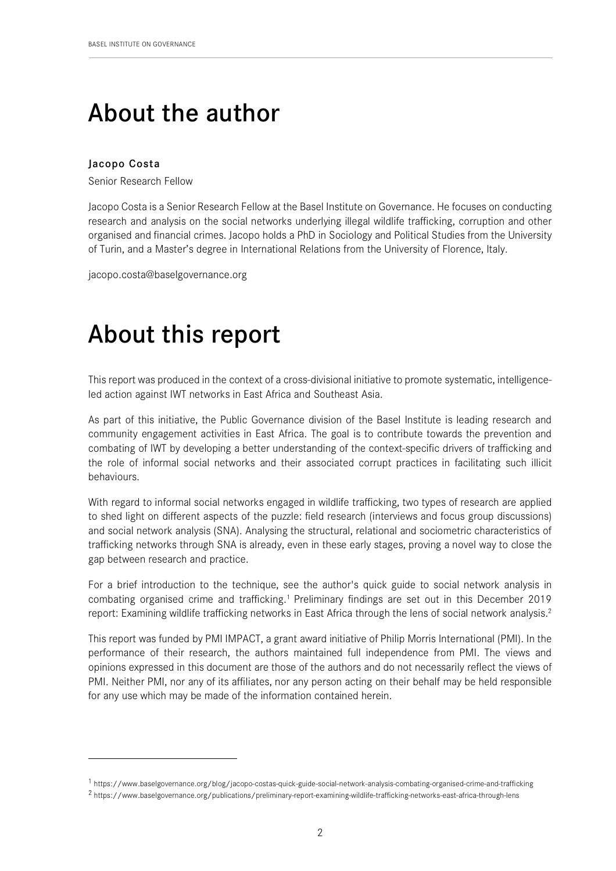## About the author

#### Jacopo Costa

 $\overline{a}$ 

Senior Research Fellow

Jacopo Costa is a Senior Research Fellow at the Basel Institute on Governance. He focuses on conducting research and analysis on the social networks underlying illegal wildlife trafficking, corruption and other organised and financial crimes. Jacopo holds a PhD in Sociology and Political Studies from the University of Turin, and a Master's degree in International Relations from the University of Florence, Italy.

jacopo.costa@baselgovernance.org

## About this report

This report was produced in the context of a cross-divisional initiative to promote systematic, intelligenceled action against IWT networks in East Africa and Southeast Asia.

As part of this initiative, the Public Governance division of the Basel Institute is leading research and community engagement activities in East Africa. The goal is to contribute towards the prevention and combating of IWT by developing a better understanding of the context-specific drivers of trafficking and the role of informal social networks and their associated corrupt practices in facilitating such illicit behaviours.

With regard to informal social networks engaged in wildlife trafficking, two types of research are applied to shed light on different aspects of the puzzle: field research (interviews and focus group discussions) and social network analysis (SNA). Analysing the structural, relational and sociometric characteristics of trafficking networks through SNA is already, even in these early stages, proving a novel way to close the gap between research and practice.

For a brief introduction to the technique, see the author's quick guide to social network analysis in combating organised crime and trafficking.1 Preliminary findings are set out in this December 2019 report: Examining wildlife trafficking networks in East Africa through the lens of social network analysis.2

This report was funded by PMI IMPACT, a grant award initiative of Philip Morris International (PMI). In the performance of their research, the authors maintained full independence from PMI. The views and opinions expressed in this document are those of the authors and do not necessarily reflect the views of PMI. Neither PMI, nor any of its affiliates, nor any person acting on their behalf may be held responsible for any use which may be made of the information contained herein.

<sup>1</sup> https://www.baselgovernance.org/blog/jacopo-costas-quick-guide-social-network-analysis-combating-organised-crime-and-trafficking

<sup>2</sup> https://www.baselgovernance.org/publications/preliminary-report-examining-wildlife-trafficking-networks-east-africa-through-lens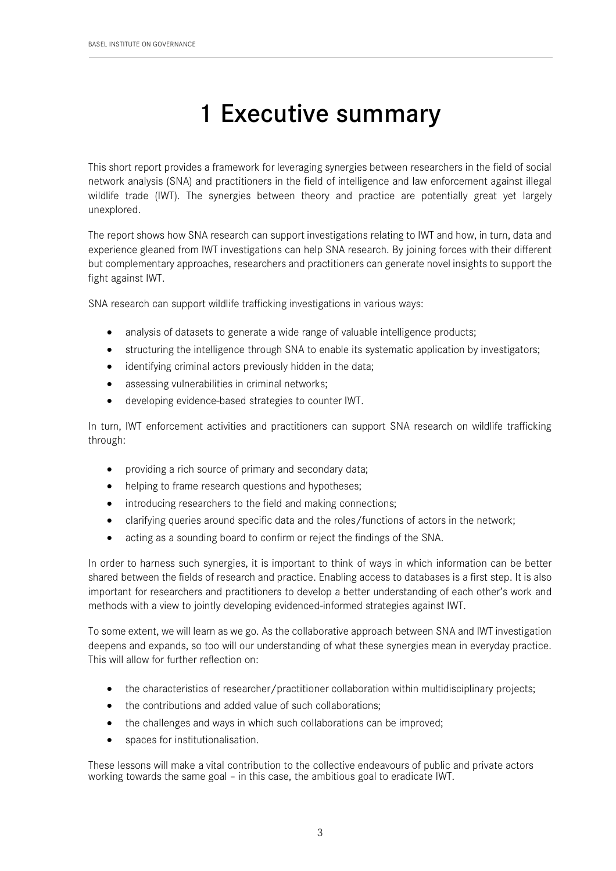## 1 Executive summary

This short report provides a framework for leveraging synergies between researchers in the field of social network analysis (SNA) and practitioners in the field of intelligence and law enforcement against illegal wildlife trade (IWT). The synergies between theory and practice are potentially great yet largely unexplored.

The report shows how SNA research can support investigations relating to IWT and how, in turn, data and experience gleaned from IWT investigations can help SNA research. By joining forces with their different but complementary approaches, researchers and practitioners can generate novel insights to support the fight against IWT.

SNA research can support wildlife trafficking investigations in various ways:

- analysis of datasets to generate a wide range of valuable intelligence products;
- structuring the intelligence through SNA to enable its systematic application by investigators;
- identifying criminal actors previously hidden in the data;
- assessing vulnerabilities in criminal networks:
- developing evidence-based strategies to counter IWT.

In turn, IWT enforcement activities and practitioners can support SNA research on wildlife trafficking through:

- providing a rich source of primary and secondary data;
- helping to frame research questions and hypotheses;
- introducing researchers to the field and making connections;
- clarifying queries around specific data and the roles/functions of actors in the network;
- acting as a sounding board to confirm or reject the findings of the SNA.

In order to harness such synergies, it is important to think of ways in which information can be better shared between the fields of research and practice. Enabling access to databases is a first step. It is also important for researchers and practitioners to develop a better understanding of each other's work and methods with a view to jointly developing evidenced-informed strategies against IWT.

To some extent, we will learn as we go. As the collaborative approach between SNA and IWT investigation deepens and expands, so too will our understanding of what these synergies mean in everyday practice. This will allow for further reflection on:

- the characteristics of researcher/practitioner collaboration within multidisciplinary projects;
- the contributions and added value of such collaborations;
- the challenges and ways in which such collaborations can be improved;
- spaces for institutionalisation.

These lessons will make a vital contribution to the collective endeavours of public and private actors working towards the same goal – in this case, the ambitious goal to eradicate IWT.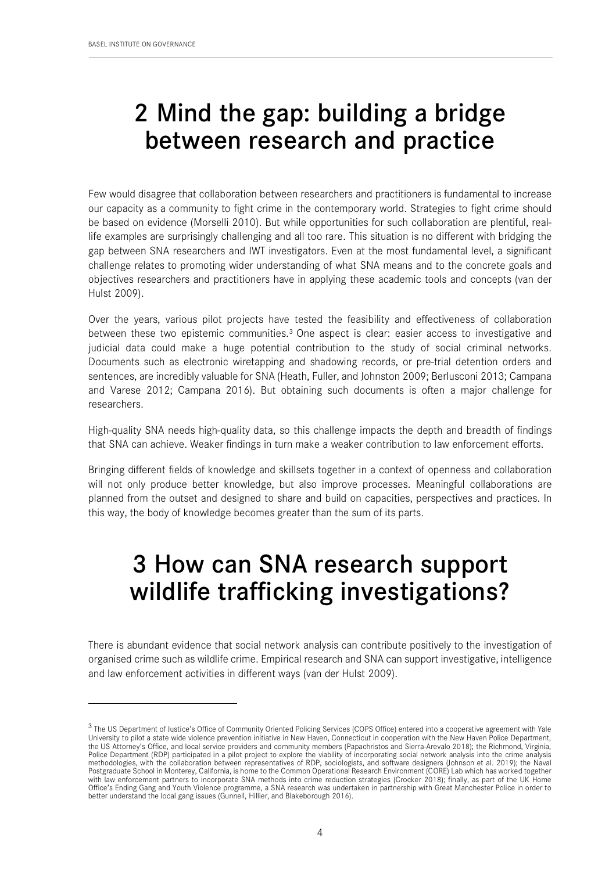1

## 2 Mind the gap: building a bridge between research and practice

Few would disagree that collaboration between researchers and practitioners is fundamental to increase our capacity as a community to fight crime in the contemporary world. Strategies to fight crime should be based on evidence (Morselli 2010). But while opportunities for such collaboration are plentiful, reallife examples are surprisingly challenging and all too rare. This situation is no different with bridging the gap between SNA researchers and IWT investigators. Even at the most fundamental level, a significant challenge relates to promoting wider understanding of what SNA means and to the concrete goals and objectives researchers and practitioners have in applying these academic tools and concepts (van der Hulst 2009).

Over the years, various pilot projects have tested the feasibility and effectiveness of collaboration between these two epistemic communities.<sup>3</sup> One aspect is clear: easier access to investigative and judicial data could make a huge potential contribution to the study of social criminal networks. Documents such as electronic wiretapping and shadowing records, or pre-trial detention orders and sentences, are incredibly valuable for SNA (Heath, Fuller, and Johnston 2009; Berlusconi 2013; Campana and Varese 2012; Campana 2016). But obtaining such documents is often a major challenge for researchers.

High-quality SNA needs high-quality data, so this challenge impacts the depth and breadth of findings that SNA can achieve. Weaker findings in turn make a weaker contribution to law enforcement efforts.

Bringing different fields of knowledge and skillsets together in a context of openness and collaboration will not only produce better knowledge, but also improve processes. Meaningful collaborations are planned from the outset and designed to share and build on capacities, perspectives and practices. In this way, the body of knowledge becomes greater than the sum of its parts.

#### 3 How can SNA research support wildlife trafficking investigations?

There is abundant evidence that social network analysis can contribute positively to the investigation of organised crime such as wildlife crime. Empirical research and SNA can support investigative, intelligence and law enforcement activities in different ways (van der Hulst 2009).

<sup>&</sup>lt;sup>3</sup> The US Department of Justice's Office of Community Oriented Policing Services (COPS Office) entered into a cooperative agreement with Yale University to pilot a state wide violence prevention initiative in New Haven, Connecticut in cooperation with the New Haven Police Department, the US Attorney's Office, and local service providers and community members (Papachristos and Sierra-Arevalo 2018); the Richmond, Virginia, Police Department (RDP) participated in a pilot project to explore the viability of incorporating social network analysis into the crime analysis methodologies, with the collaboration between representatives of RDP, sociologists, and software designers (Johnson et al. 2019); the Naval Postgraduate School in Monterey, California, is home to the Common Operational Research Environment (CORE) Lab which has worked together with law enforcement partners to incorporate SNA methods into crime reduction strategies (Crocker 2018); finally, as part of the UK Home<br>Office's Ending Gang and Youth Violence programme, a SNA research was undertaken in p better understand the local gang issues (Gunnell, Hillier, and Blakeborough 2016).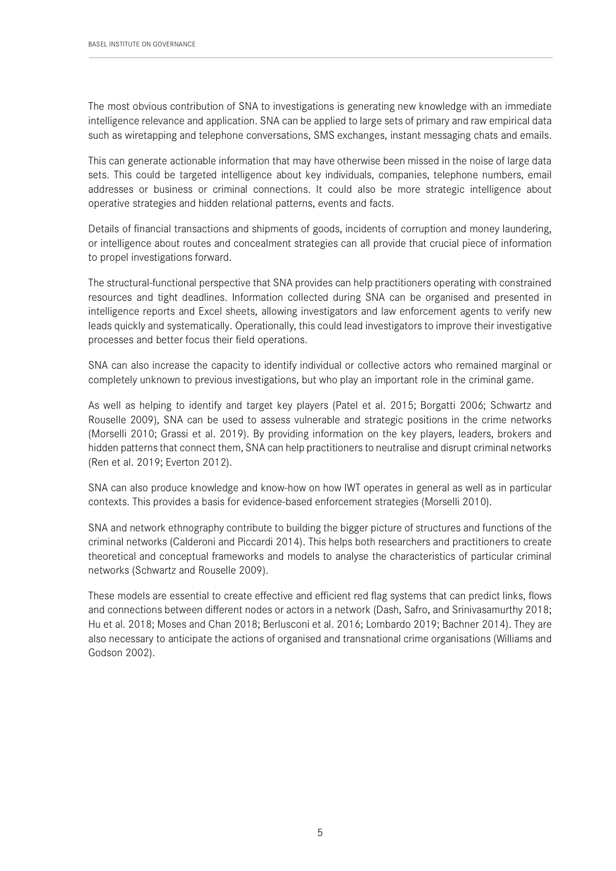The most obvious contribution of SNA to investigations is generating new knowledge with an immediate intelligence relevance and application. SNA can be applied to large sets of primary and raw empirical data such as wiretapping and telephone conversations, SMS exchanges, instant messaging chats and emails.

This can generate actionable information that may have otherwise been missed in the noise of large data sets. This could be targeted intelligence about key individuals, companies, telephone numbers, email addresses or business or criminal connections. It could also be more strategic intelligence about operative strategies and hidden relational patterns, events and facts.

Details of financial transactions and shipments of goods, incidents of corruption and money laundering, or intelligence about routes and concealment strategies can all provide that crucial piece of information to propel investigations forward.

The structural-functional perspective that SNA provides can help practitioners operating with constrained resources and tight deadlines. Information collected during SNA can be organised and presented in intelligence reports and Excel sheets, allowing investigators and law enforcement agents to verify new leads quickly and systematically. Operationally, this could lead investigators to improve their investigative processes and better focus their field operations.

SNA can also increase the capacity to identify individual or collective actors who remained marginal or completely unknown to previous investigations, but who play an important role in the criminal game.

As well as helping to identify and target key players (Patel et al. 2015; Borgatti 2006; Schwartz and Rouselle 2009), SNA can be used to assess vulnerable and strategic positions in the crime networks (Morselli 2010; Grassi et al. 2019). By providing information on the key players, leaders, brokers and hidden patterns that connect them, SNA can help practitioners to neutralise and disrupt criminal networks (Ren et al. 2019; Everton 2012).

SNA can also produce knowledge and know-how on how IWT operates in general as well as in particular contexts. This provides a basis for evidence-based enforcement strategies (Morselli 2010).

SNA and network ethnography contribute to building the bigger picture of structures and functions of the criminal networks (Calderoni and Piccardi 2014). This helps both researchers and practitioners to create theoretical and conceptual frameworks and models to analyse the characteristics of particular criminal networks (Schwartz and Rouselle 2009).

These models are essential to create effective and efficient red flag systems that can predict links, flows and connections between different nodes or actors in a network (Dash, Safro, and Srinivasamurthy 2018; Hu et al. 2018; Moses and Chan 2018; Berlusconi et al. 2016; Lombardo 2019; Bachner 2014). They are also necessary to anticipate the actions of organised and transnational crime organisations (Williams and Godson 2002).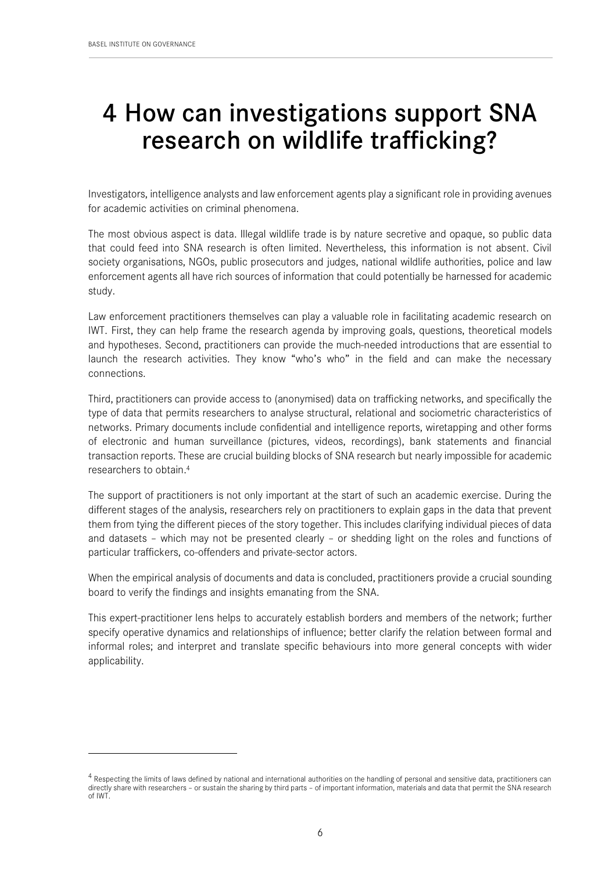1

## 4 How can investigations support SNA research on wildlife trafficking?

Investigators, intelligence analysts and law enforcement agents play a significant role in providing avenues for academic activities on criminal phenomena.

The most obvious aspect is data. Illegal wildlife trade is by nature secretive and opaque, so public data that could feed into SNA research is often limited. Nevertheless, this information is not absent. Civil society organisations, NGOs, public prosecutors and judges, national wildlife authorities, police and law enforcement agents all have rich sources of information that could potentially be harnessed for academic study.

Law enforcement practitioners themselves can play a valuable role in facilitating academic research on IWT. First, they can help frame the research agenda by improving goals, questions, theoretical models and hypotheses. Second, practitioners can provide the much-needed introductions that are essential to launch the research activities. They know "who's who" in the field and can make the necessary connections.

Third, practitioners can provide access to (anonymised) data on trafficking networks, and specifically the type of data that permits researchers to analyse structural, relational and sociometric characteristics of networks. Primary documents include confidential and intelligence reports, wiretapping and other forms of electronic and human surveillance (pictures, videos, recordings), bank statements and financial transaction reports. These are crucial building blocks of SNA research but nearly impossible for academic researchers to obtain. 4

The support of practitioners is not only important at the start of such an academic exercise. During the different stages of the analysis, researchers rely on practitioners to explain gaps in the data that prevent them from tying the different pieces of the story together. This includes clarifying individual pieces of data and datasets – which may not be presented clearly – or shedding light on the roles and functions of particular traffickers, co-offenders and private-sector actors.

When the empirical analysis of documents and data is concluded, practitioners provide a crucial sounding board to verify the findings and insights emanating from the SNA.

This expert-practitioner lens helps to accurately establish borders and members of the network; further specify operative dynamics and relationships of influence; better clarify the relation between formal and informal roles; and interpret and translate specific behaviours into more general concepts with wider applicability.

 $4$  Respecting the limits of laws defined by national and international authorities on the handling of personal and sensitive data, practitioners can directly share with researchers – or sustain the sharing by third parts – of important information, materials and data that permit the SNA research of IWT.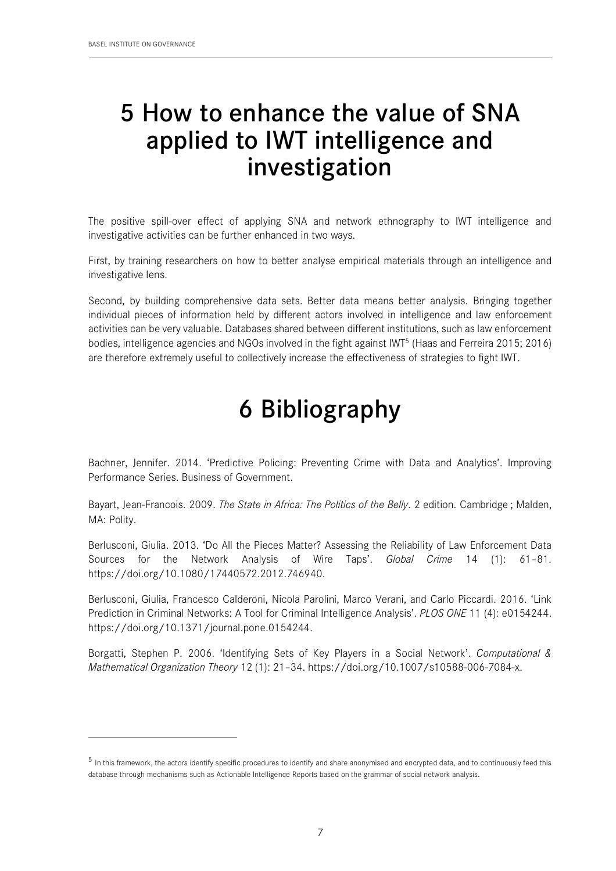$\overline{a}$ 

#### 5 How to enhance the value of SNA applied to IWT intelligence and investigation

The positive spill-over effect of applying SNA and network ethnography to IWT intelligence and investigative activities can be further enhanced in two ways.

First, by training researchers on how to better analyse empirical materials through an intelligence and investigative lens.

Second, by building comprehensive data sets. Better data means better analysis. Bringing together individual pieces of information held by different actors involved in intelligence and law enforcement activities can be very valuable. Databases shared between different institutions, such as law enforcement bodies, intelligence agencies and NGOs involved in the fight against IWT5 (Haas and Ferreira 2015; 2016) are therefore extremely useful to collectively increase the effectiveness of strategies to fight IWT.

# 6 Bibliography

Bachner, Jennifer. 2014. 'Predictive Policing: Preventing Crime with Data and Analytics'. Improving Performance Series. Business of Government.

Bayart, Jean-Francois. 2009. *The State in Africa: The Politics of the Belly*. 2 edition. Cambridge ; Malden, MA: Polity.

Berlusconi, Giulia. 2013. 'Do All the Pieces Matter? Assessing the Reliability of Law Enforcement Data Sources for the Network Analysis of Wire Taps'. *Global Crime* 14 (1): 61–81. https://doi.org/10.1080/17440572.2012.746940.

Berlusconi, Giulia, Francesco Calderoni, Nicola Parolini, Marco Verani, and Carlo Piccardi. 2016. 'Link Prediction in Criminal Networks: A Tool for Criminal Intelligence Analysis'. *PLOS ONE* 11 (4): e0154244. https://doi.org/10.1371/journal.pone.0154244.

Borgatti, Stephen P. 2006. 'Identifying Sets of Key Players in a Social Network'. *Computational & Mathematical Organization Theory* 12 (1): 21–34. https://doi.org/10.1007/s10588-006-7084-x.

 $<sup>5</sup>$  In this framework, the actors identify specific procedures to identify and share anonymised and encrypted data, and to continuously feed this</sup> database through mechanisms such as Actionable Intelligence Reports based on the grammar of social network analysis.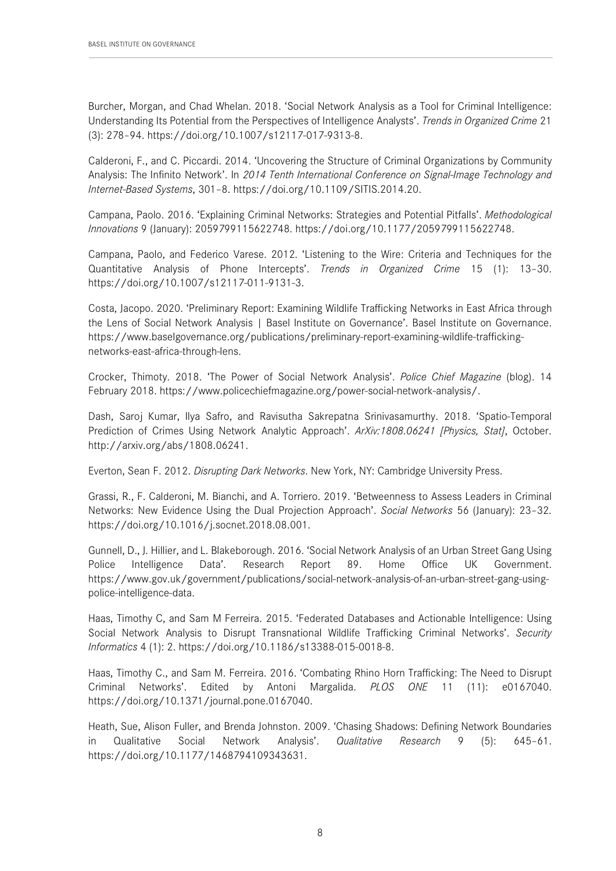Burcher, Morgan, and Chad Whelan. 2018. 'Social Network Analysis as a Tool for Criminal Intelligence: Understanding Its Potential from the Perspectives of Intelligence Analysts'. *Trends in Organized Crime* 21 (3): 278–94. https://doi.org/10.1007/s12117-017-9313-8.

Calderoni, F., and C. Piccardi. 2014. 'Uncovering the Structure of Criminal Organizations by Community Analysis: The Infinito Network'. In *2014 Tenth International Conference on Signal-Image Technology and Internet-Based Systems*, 301–8. https://doi.org/10.1109/SITIS.2014.20.

Campana, Paolo. 2016. 'Explaining Criminal Networks: Strategies and Potential Pitfalls'. *Methodological Innovations* 9 (January): 2059799115622748. https://doi.org/10.1177/2059799115622748.

Campana, Paolo, and Federico Varese. 2012. 'Listening to the Wire: Criteria and Techniques for the Quantitative Analysis of Phone Intercepts'. *Trends in Organized Crime* 15 (1): 13–30. https://doi.org/10.1007/s12117-011-9131-3.

Costa, Jacopo. 2020. 'Preliminary Report: Examining Wildlife Trafficking Networks in East Africa through the Lens of Social Network Analysis | Basel Institute on Governance'. Basel Institute on Governance. https://www.baselgovernance.org/publications/preliminary-report-examining-wildlife-traffickingnetworks-east-africa-through-lens.

Crocker, Thimoty. 2018. 'The Power of Social Network Analysis'. *Police Chief Magazine* (blog). 14 February 2018. https://www.policechiefmagazine.org/power-social-network-analysis/.

Dash, Saroj Kumar, Ilya Safro, and Ravisutha Sakrepatna Srinivasamurthy. 2018. 'Spatio-Temporal Prediction of Crimes Using Network Analytic Approach'. *ArXiv:1808.06241 [Physics, Stat]*, October. http://arxiv.org/abs/1808.06241.

Everton, Sean F. 2012. *Disrupting Dark Networks*. New York, NY: Cambridge University Press.

Grassi, R., F. Calderoni, M. Bianchi, and A. Torriero. 2019. 'Betweenness to Assess Leaders in Criminal Networks: New Evidence Using the Dual Projection Approach'. *Social Networks* 56 (January): 23–32. https://doi.org/10.1016/j.socnet.2018.08.001.

Gunnell, D., J. Hillier, and L. Blakeborough. 2016. 'Social Network Analysis of an Urban Street Gang Using Police Intelligence Data'. Research Report 89. Home Office UK Government. https://www.gov.uk/government/publications/social-network-analysis-of-an-urban-street-gang-usingpolice-intelligence-data.

Haas, Timothy C, and Sam M Ferreira. 2015. 'Federated Databases and Actionable Intelligence: Using Social Network Analysis to Disrupt Transnational Wildlife Trafficking Criminal Networks'. *Security Informatics* 4 (1): 2. https://doi.org/10.1186/s13388-015-0018-8.

Haas, Timothy C., and Sam M. Ferreira. 2016. 'Combating Rhino Horn Trafficking: The Need to Disrupt Criminal Networks'. Edited by Antoni Margalida. *PLOS ONE* 11 (11): e0167040. https://doi.org/10.1371/journal.pone.0167040.

Heath, Sue, Alison Fuller, and Brenda Johnston. 2009. 'Chasing Shadows: Defining Network Boundaries in Qualitative Social Network Analysis'. *Qualitative Research* 9 (5): 645–61. https://doi.org/10.1177/1468794109343631.